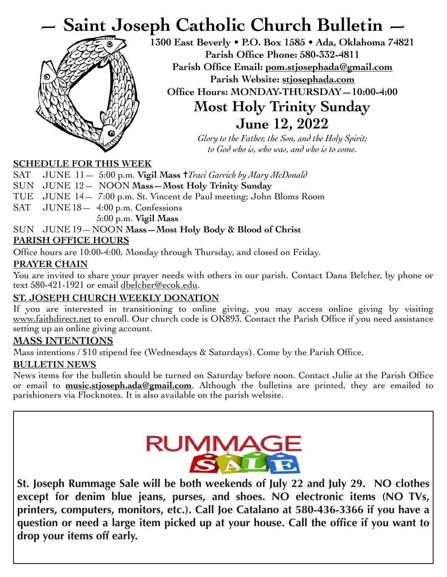# **— Saint Joseph Catholic Church Bulletin —**



**1300 East Beverly • P.O. Box 1585 • Ada, Oklahoma 74821 Parish Office Phone: 580-332-4811 Parish Office Email: [pom.stjosephada@gmail.com](mailto:pom.stjosephada@gmail.com) Parish Website: stjosephada.com Office Hours: MONDAY-THURSDAY—10:00-4:00 Most Holy Trinity Sunday June 12, 2022**

> *Glory to the Father, the Son, and the Holy Spirit; to God who is, who was, and who is to come.*

#### **SCHEDULE FOR THIS WEEK**

SAT JUNE 11 - 5:00 p.m. **Vigil Mass †** Traci Garrich by Mary McDonald

SUN JUNE 12— NOON **Mass—Most Holy Trinity Sunday**

TUE JUNE 14— 7:00 p.m. St. Vincent de Paul meeting; John Bloms Room

SAT JUNE 18 - 4:00 p.m. Confessions 5:00 p.m. **Vigil Mass** 

#### SUN JUNE 19—NOON **Mass—Most Holy Body & Blood of Christ**

#### **PARISH OFFICE HOURS**

Office hours are 10:00-4:00, Monday through Thursday, and closed on Friday.

#### **PRAYER CHAIN**

You are invited to share your prayer needs with others in our parish. Contact Dana Belcher, by phone or text 580-421-1921 or email dbelcher@ecok.edu.

#### **ST. JOSEPH CHURCH WEEKLY DONATION**

If you are interested in transitioning to online giving, you may access online giving by visiting [www.faithdirect.net](http://www.faithdirect.net) to enroll. Our church code is OK893. Contact the Parish Office if you need assistance setting up an online giving account.

#### **MASS INTENTIONS**

Mass intentions / \$10 stipend fee (Wednesdays & Saturdays). Come by the Parish Office.

#### **BULLETIN NEWS**

News items for the bulletin should be turned on Saturday before noon. Contact Julie at the Parish Office or email to **[music.stjoseph.ada@gmail.com](mailto:music.stjoseph.ada@gmail.com)**. Although the bulletins are printed, they are emailed to parishioners via Flocknotes. It is also available on the parish website.



**St. Joseph Rummage Sale will be both weekends of July 22 and July 29. NO clothes except for denim blue jeans, purses, and shoes. NO electronic items (NO TVs, printers, computers, monitors, etc.). Call Joe Catalano at 580-436-3366 if you have a question or need a large item picked up at your house. Call the office if you want to drop your items off early.**